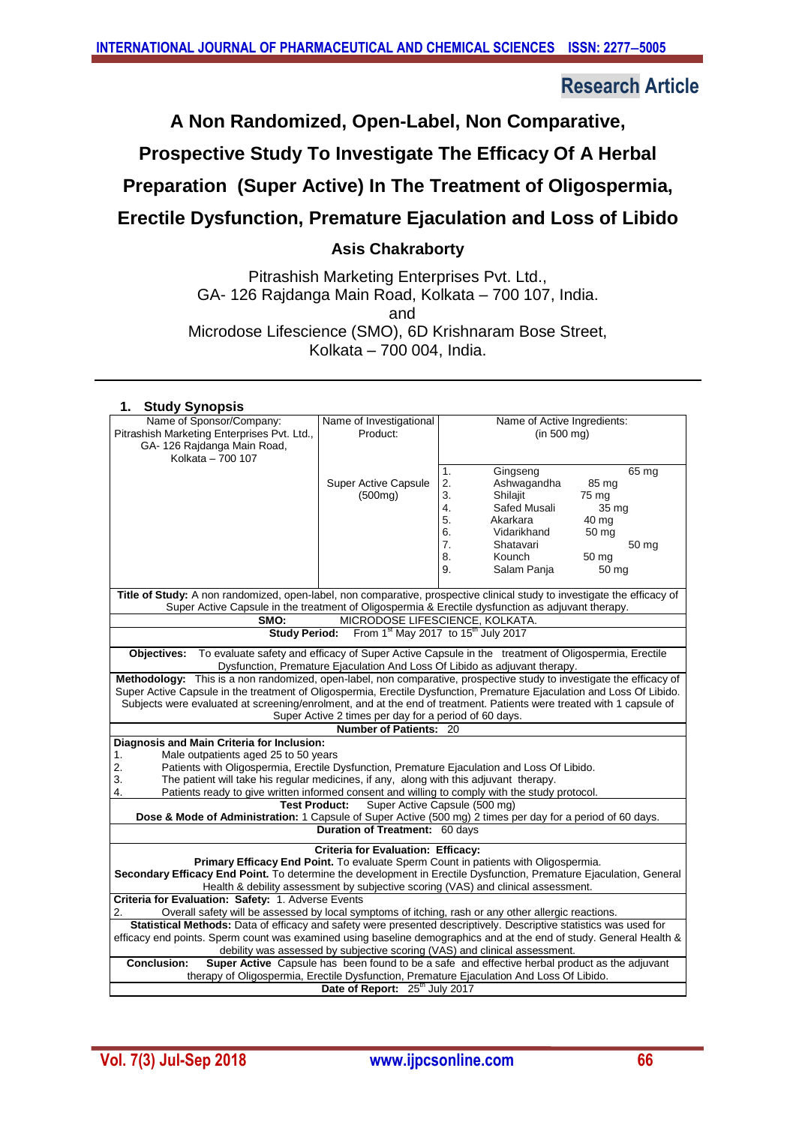# **Research Article**

**A Non Randomized, Open-Label, Non Comparative,** 

**Prospective Study To Investigate The Efficacy Of A Herbal** 

**Preparation (Super Active) In The Treatment of Oligospermia,** 

# **Erectile Dysfunction, Premature Ejaculation and Loss of Libido**

# **Asis Chakraborty**

Pitrashish Marketing Enterprises Pvt. Ltd., GA- 126 Rajdanga Main Road, Kolkata – 700 107, India. and Microdose Lifescience (SMO), 6D Krishnaram Bose Street, Kolkata – 700 004, India.

| 1. Study Synopsis                                                                                                                                         |                                                                                                    |    |                             |       |       |  |
|-----------------------------------------------------------------------------------------------------------------------------------------------------------|----------------------------------------------------------------------------------------------------|----|-----------------------------|-------|-------|--|
| Name of Sponsor/Company:                                                                                                                                  | Name of Investigational                                                                            |    | Name of Active Ingredients: |       |       |  |
| Pitrashish Marketing Enterprises Pvt. Ltd.,                                                                                                               | Product:                                                                                           |    | (in 500 mg)                 |       |       |  |
| GA-126 Rajdanga Main Road,                                                                                                                                |                                                                                                    |    |                             |       |       |  |
| Kolkata - 700 107                                                                                                                                         |                                                                                                    |    |                             |       |       |  |
|                                                                                                                                                           |                                                                                                    | 1. | Gingseng                    |       | 65 mg |  |
|                                                                                                                                                           | <b>Super Active Capsule</b>                                                                        | 2. | Ashwagandha                 | 85 mg |       |  |
|                                                                                                                                                           | (500mg)                                                                                            | 3. | Shilajit                    | 75 mg |       |  |
|                                                                                                                                                           |                                                                                                    | 4. | Safed Musali                | 35 mg |       |  |
|                                                                                                                                                           |                                                                                                    | 5. | Akarkara                    | 40 mg |       |  |
|                                                                                                                                                           |                                                                                                    | 6. | Vidarikhand                 | 50 mg |       |  |
|                                                                                                                                                           |                                                                                                    | 7. | Shatavari                   |       | 50 mg |  |
|                                                                                                                                                           |                                                                                                    | 8. | Kounch                      | 50 mg |       |  |
|                                                                                                                                                           |                                                                                                    | 9. | Salam Panja                 | 50 mg |       |  |
|                                                                                                                                                           |                                                                                                    |    |                             |       |       |  |
| Title of Study: A non randomized, open-label, non comparative, prospective clinical study to investigate the efficacy of                                  |                                                                                                    |    |                             |       |       |  |
| Super Active Capsule in the treatment of Oligospermia & Erectile dysfunction as adjuvant therapy.                                                         |                                                                                                    |    |                             |       |       |  |
| SMO:                                                                                                                                                      | MICRODOSE LIFESCIENCE, KOLKATA.                                                                    |    |                             |       |       |  |
| <b>Study Period:</b>                                                                                                                                      | From 1 <sup>st</sup> May 2017 to 15 <sup>th</sup> July 2017                                        |    |                             |       |       |  |
| Objectives:                                                                                                                                               | To evaluate safety and efficacy of Super Active Capsule in the treatment of Oligospermia, Erectile |    |                             |       |       |  |
|                                                                                                                                                           | Dysfunction, Premature Ejaculation And Loss Of Libido as adjuvant therapy.                         |    |                             |       |       |  |
| Methodology: This is a non randomized, open-label, non comparative, prospective study to investigate the efficacy of                                      |                                                                                                    |    |                             |       |       |  |
| Super Active Capsule in the treatment of Oligospermia, Erectile Dysfunction, Premature Ejaculation and Loss Of Libido.                                    |                                                                                                    |    |                             |       |       |  |
| Subjects were evaluated at screening/enrolment, and at the end of treatment. Patients were treated with 1 capsule of                                      |                                                                                                    |    |                             |       |       |  |
|                                                                                                                                                           | Super Active 2 times per day for a period of 60 days.                                              |    |                             |       |       |  |
|                                                                                                                                                           | <b>Number of Patients: 20</b>                                                                      |    |                             |       |       |  |
| Diagnosis and Main Criteria for Inclusion:                                                                                                                |                                                                                                    |    |                             |       |       |  |
| 1.<br>Male outpatients aged 25 to 50 years                                                                                                                |                                                                                                    |    |                             |       |       |  |
| 2.<br>Patients with Oligospermia, Erectile Dysfunction, Premature Ejaculation and Loss Of Libido.                                                         |                                                                                                    |    |                             |       |       |  |
| 3.<br>The patient will take his regular medicines, if any, along with this adjuvant therapy.                                                              |                                                                                                    |    |                             |       |       |  |
| 4.<br>Patients ready to give written informed consent and willing to comply with the study protocol.                                                      |                                                                                                    |    |                             |       |       |  |
| <b>Test Product:</b>                                                                                                                                      | Super Active Capsule (500 mg)                                                                      |    |                             |       |       |  |
| Dose & Mode of Administration: 1 Capsule of Super Active (500 mg) 2 times per day for a period of 60 days.                                                |                                                                                                    |    |                             |       |       |  |
|                                                                                                                                                           | Duration of Treatment: 60 days                                                                     |    |                             |       |       |  |
|                                                                                                                                                           | <b>Criteria for Evaluation: Efficacy:</b>                                                          |    |                             |       |       |  |
| Primary Efficacy End Point. To evaluate Sperm Count in patients with Oligospermia.                                                                        |                                                                                                    |    |                             |       |       |  |
| Secondary Efficacy End Point. To determine the development in Erectile Dysfunction, Premature Ejaculation, General                                        |                                                                                                    |    |                             |       |       |  |
| Health & debility assessment by subjective scoring (VAS) and clinical assessment.                                                                         |                                                                                                    |    |                             |       |       |  |
| Criteria for Evaluation: Safety: 1. Adverse Events<br>Overall safety will be assessed by local symptoms of itching, rash or any other allergic reactions. |                                                                                                    |    |                             |       |       |  |
| 2.<br>Statistical Methods: Data of efficacy and safety were presented descriptively. Descriptive statistics was used for                                  |                                                                                                    |    |                             |       |       |  |
|                                                                                                                                                           |                                                                                                    |    |                             |       |       |  |
| efficacy end points. Sperm count was examined using baseline demographics and at the end of study. General Health &                                       |                                                                                                    |    |                             |       |       |  |
|                                                                                                                                                           | debility was assessed by subjective scoring (VAS) and clinical assessment.                         |    |                             |       |       |  |
| <b>Conclusion:</b>                                                                                                                                        | Super Active Capsule has been found to be a safe and effective herbal product as the adjuvant      |    |                             |       |       |  |
| therapy of Oligospermia, Erectile Dysfunction, Premature Ejaculation And Loss Of Libido.                                                                  |                                                                                                    |    |                             |       |       |  |
| Date of Report: 25 <sup>th</sup> July 2017                                                                                                                |                                                                                                    |    |                             |       |       |  |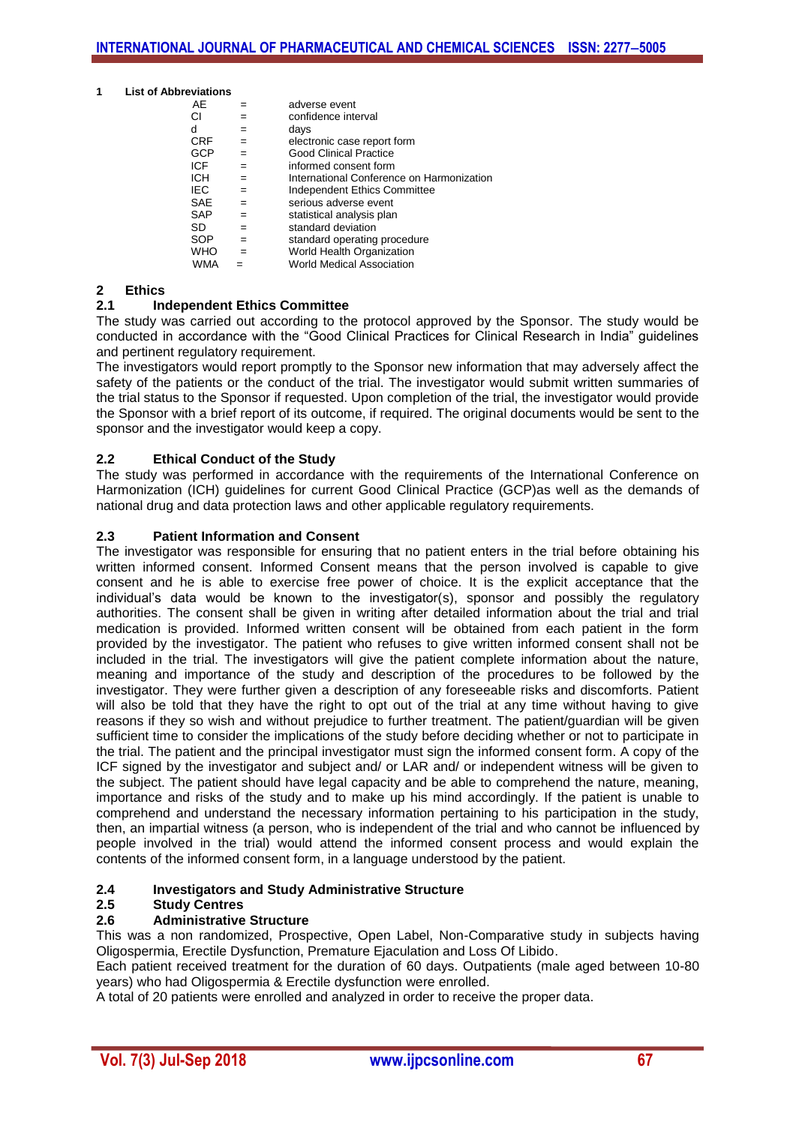#### **1 List of Abbreviations**

| AE         |     | adverse event                             |
|------------|-----|-------------------------------------------|
| СI         |     | confidence interval                       |
| d          | $=$ | days                                      |
| <b>CRF</b> |     | electronic case report form               |
| GCP        | $=$ | Good Clinical Practice                    |
| ICF        | $=$ | informed consent form                     |
| <b>ICH</b> | $=$ | International Conference on Harmonization |
| IEC.       | $=$ | Independent Ethics Committee              |
| <b>SAE</b> | $=$ | serious adverse event                     |
| <b>SAP</b> |     | statistical analysis plan                 |
| SD         | $=$ | standard deviation                        |
| SOP        | $=$ | standard operating procedure              |
| <b>WHO</b> |     | World Health Organization                 |
| WMA        |     | <b>World Medical Association</b>          |
|            |     |                                           |

# **2 Ethics**

#### **2.1 Independent Ethics Committee**

The study was carried out according to the protocol approved by the Sponsor. The study would be conducted in accordance with the "Good Clinical Practices for Clinical Research in India" guidelines and pertinent regulatory requirement.

The investigators would report promptly to the Sponsor new information that may adversely affect the safety of the patients or the conduct of the trial. The investigator would submit written summaries of the trial status to the Sponsor if requested. Upon completion of the trial, the investigator would provide the Sponsor with a brief report of its outcome, if required. The original documents would be sent to the sponsor and the investigator would keep a copy.

#### **2.2 Ethical Conduct of the Study**

The study was performed in accordance with the requirements of the International Conference on Harmonization (ICH) guidelines for current Good Clinical Practice (GCP)as well as the demands of national drug and data protection laws and other applicable regulatory requirements.

#### **2.3 Patient Information and Consent**

The investigator was responsible for ensuring that no patient enters in the trial before obtaining his written informed consent. Informed Consent means that the person involved is capable to give consent and he is able to exercise free power of choice. It is the explicit acceptance that the individual's data would be known to the investigator(s), sponsor and possibly the regulatory authorities. The consent shall be given in writing after detailed information about the trial and trial medication is provided. Informed written consent will be obtained from each patient in the form provided by the investigator. The patient who refuses to give written informed consent shall not be included in the trial. The investigators will give the patient complete information about the nature, meaning and importance of the study and description of the procedures to be followed by the investigator. They were further given a description of any foreseeable risks and discomforts. Patient will also be told that they have the right to opt out of the trial at any time without having to give reasons if they so wish and without prejudice to further treatment. The patient/guardian will be given sufficient time to consider the implications of the study before deciding whether or not to participate in the trial. The patient and the principal investigator must sign the informed consent form. A copy of the ICF signed by the investigator and subject and/ or LAR and/ or independent witness will be given to the subject. The patient should have legal capacity and be able to comprehend the nature, meaning, importance and risks of the study and to make up his mind accordingly. If the patient is unable to comprehend and understand the necessary information pertaining to his participation in the study, then, an impartial witness (a person, who is independent of the trial and who cannot be influenced by people involved in the trial) would attend the informed consent process and would explain the contents of the informed consent form, in a language understood by the patient.

# **2.4 Investigators and Study Administrative Structure**

#### **2.5 Study Centres**

#### **2.6 Administrative Structure**

This was a non randomized, Prospective, Open Label, Non-Comparative study in subjects having Oligospermia, Erectile Dysfunction, Premature Ejaculation and Loss Of Libido.

Each patient received treatment for the duration of 60 days. Outpatients (male aged between 10-80 years) who had Oligospermia & Erectile dysfunction were enrolled.

A total of 20 patients were enrolled and analyzed in order to receive the proper data.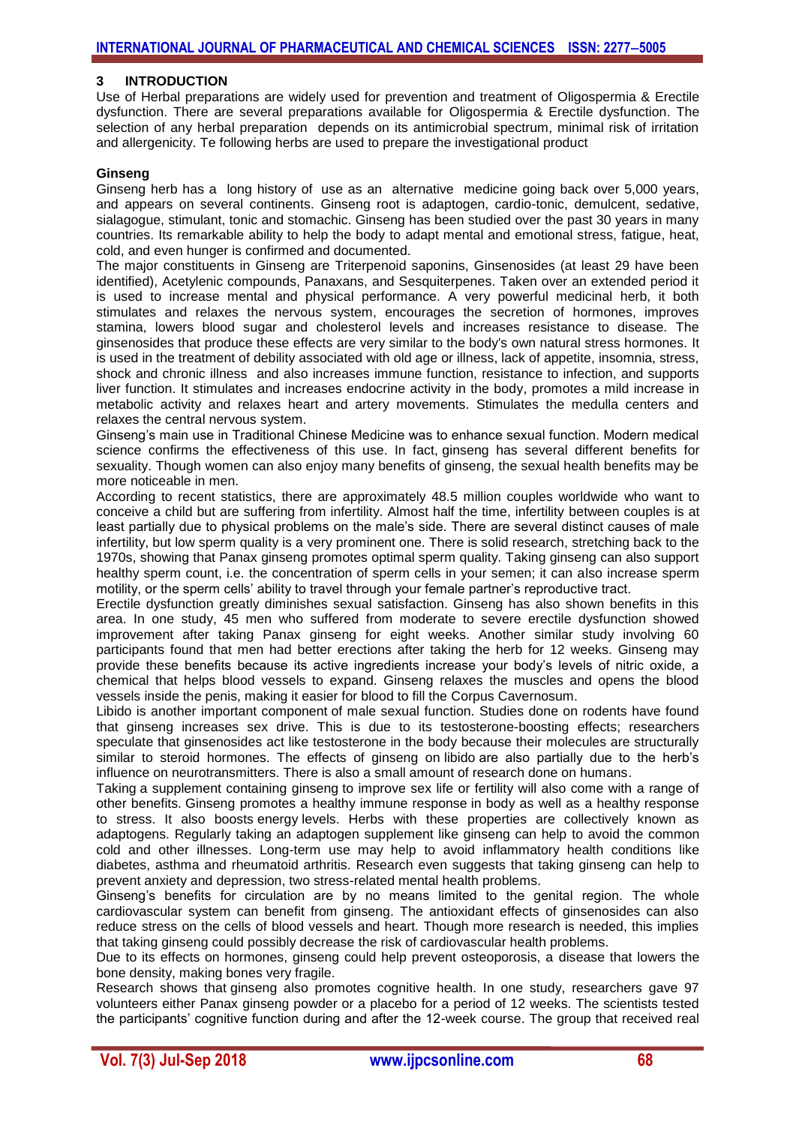#### **3 INTRODUCTION**

Use of Herbal preparations are widely used for prevention and treatment of Oligospermia & Erectile dysfunction. There are several preparations available for Oligospermia & Erectile dysfunction. The selection of any herbal preparation depends on its antimicrobial spectrum, minimal risk of irritation and allergenicity. Te following herbs are used to prepare the investigational product

#### **Ginseng**

Ginseng herb has a long history of use as an alternative medicine going back over 5,000 years, and appears on several continents. Ginseng root is adaptogen, cardio-tonic, demulcent, sedative, sialagogue, stimulant, tonic and stomachic. Ginseng has been studied over the past 30 years in many countries. Its remarkable ability to help the body to adapt mental and emotional stress, fatigue, heat, cold, and even hunger is confirmed and documented.

The major constituents in Ginseng are Triterpenoid saponins, Ginsenosides (at least 29 have been identified), Acetylenic compounds, Panaxans, and Sesquiterpenes. Taken over an extended period it is used to increase mental and physical performance. A very powerful medicinal herb, it both stimulates and relaxes the nervous system, encourages the secretion of hormones, improves stamina, lowers blood sugar and cholesterol levels and increases resistance to disease. The ginsenosides that produce these effects are very similar to the body's own natural stress hormones. It is used in the treatment of debility associated with old age or illness, lack of appetite, insomnia, stress, shock and chronic illness and also increases immune function, resistance to infection, and supports liver function. It stimulates and increases endocrine activity in the body, promotes a mild increase in metabolic activity and relaxes heart and artery movements. Stimulates the medulla centers and relaxes the central nervous system.

Ginseng's main use in Traditional Chinese Medicine was to enhance sexual function. Modern medical science confirms the effectiveness of this use. In fact, ginseng has several [different](https://www.ncbi.nlm.nih.gov/pmc/articles/PMC3861174/) benefits for [sexuality.](https://www.ncbi.nlm.nih.gov/pmc/articles/PMC3861174/) Though women can also enjoy many benefits of ginseng, the sexual health benefits may be more noticeable in men.

According to recent statistics, there are approximately 48.5 million couples worldwide who want to conceive a child but are suffering from infertility. Almost half the time, infertility between couples is at least partially due to physical problems on the male's side. There are several distinct causes of male infertility, but low sperm quality is a very prominent one. There is solid research, stretching back to the 1970s, showing that Panax ginseng promotes optimal sperm quality. Taking ginseng can also support healthy sperm count, i.e. the concentration of sperm cells in your semen; it can also increase sperm motility, or the sperm cells' ability to travel through your female partner's reproductive tract.

Erectile dysfunction greatly diminishes sexual satisfaction. Ginseng has also shown benefits in this area. In one study, 45 men who suffered from moderate to severe erectile dysfunction showed improvement after taking Panax ginseng for eight weeks. Another similar study involving 60 participants found that men had better erections after taking the herb for 12 weeks. Ginseng may provide these benefits because its active ingredients increase your body's levels of nitric oxide, a chemical that helps blood vessels to expand. Ginseng relaxes the muscles and opens the blood vessels inside the penis, making it easier for blood to fill the Corpus Cavernosum.

Libido is another important [component](https://www.macabido.com/9-facts-libido-improve-sex-life/) of male sexual function. Studies done on rodents have found that ginseng increases sex drive. This is due to its testosterone-boosting effects; researchers speculate that ginsenosides act like testosterone in the body because their molecules are structurally similar to steroid hormones. The effects of ginseng on [libido](https://www.macabido.com/about-us/macabido-for-low-libido/) are also partially due to the herb's influence on neurotransmitters. There is also a small amount of research done on humans.

Taking a [supplement](https://www.macabido.com/natural-ingredients/macabido-mens-formula/) containing ginseng to improve sex life or fertility will also come with a range of other benefits. Ginseng [promotes](http://www.sciencedirect.com/science/article/pii/S122684531630224X) a healthy immune response in body as well as a healthy response to stress. It also boosts [energy](https://www.macabido.com/about-us/macabido-for-energy/) levels. Herbs with these properties are collectively known as adaptogens. Regularly taking an adaptogen supplement like ginseng can help to avoid the common cold and other illnesses. Long-term use may help to avoid inflammatory health conditions like diabetes, asthma and rheumatoid arthritis. Research even suggests that taking ginseng can help to prevent anxiety and depression, two stress-related mental health problems.

Ginseng's benefits for circulation are by no means limited to the genital region. The whole cardiovascular system can benefit from ginseng. The antioxidant effects of ginsenosides can also reduce stress on the cells of blood vessels and heart. Though more research is needed, this implies that taking ginseng could possibly decrease the risk of cardiovascular health problems.

Due to its effects on hormones, ginseng could help prevent osteoporosis, a disease that lowers the bone density, making bones very fragile.

Research shows that ginseng also [promotes](https://www.ncbi.nlm.nih.gov/pubmed/18580589) cognitive health. In one study, researchers gave 97 volunteers either Panax ginseng powder or a placebo for a period of 12 weeks. The scientists tested the participants' cognitive function during and after the 12-week course. The group that received real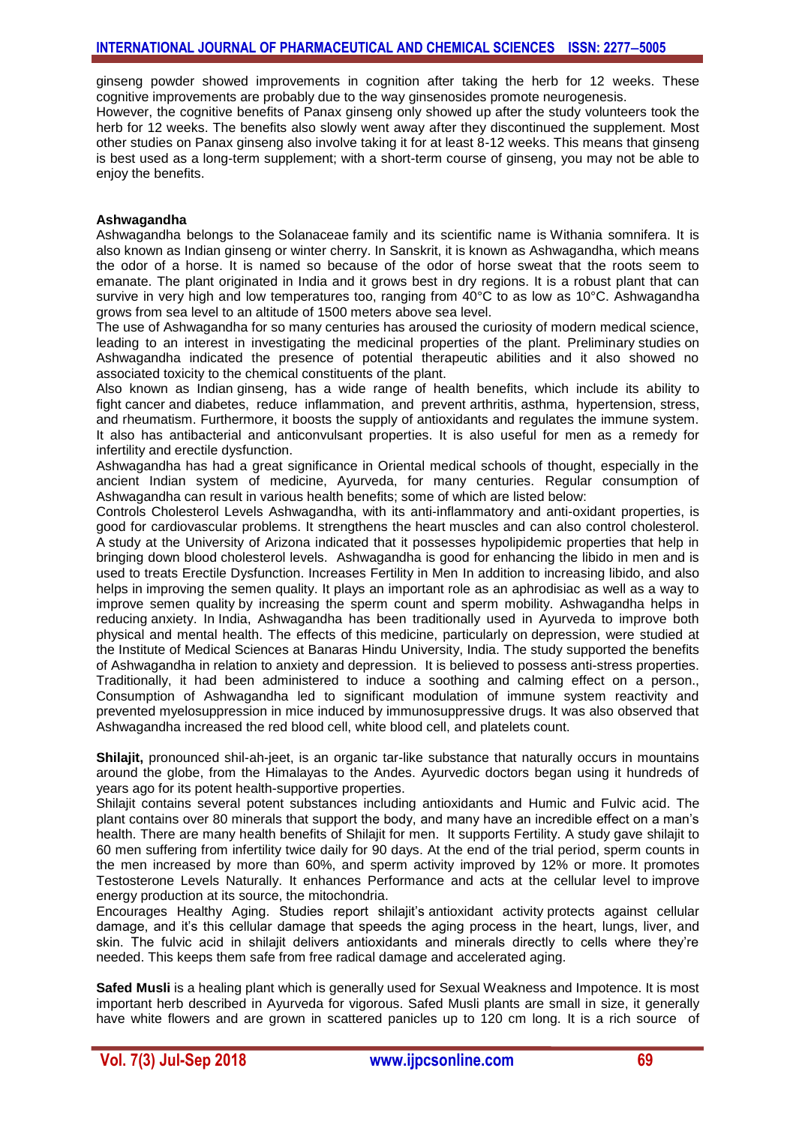ginseng powder showed improvements in cognition after taking the herb for 12 weeks. These cognitive improvements are probably due to the way ginsenosides promote neurogenesis.

However, the cognitive benefits of Panax ginseng only showed up after the study volunteers took the herb for 12 weeks. The benefits also slowly went away after they discontinued the supplement. Most other studies on Panax ginseng also involve taking it for at least 8-12 weeks. This means that ginseng is best used as a long-term supplement; with a short-term course of ginseng, you may not be able to enjoy the benefits.

#### **Ashwagandha**

Ashwagandha belongs to the Solanaceae family and its scientific name is Withania somnifera. It is also known as Indian ginseng or winter cherry. In Sanskrit, it is known as Ashwagandha, which means the odor of a horse. It is named so because of the odor of horse sweat that the roots seem to emanate. The plant originated in India and it grows best in dry regions. It is a robust plant that can survive in very high and low temperatures too, ranging from 40°C to as low as 10°C. Ashwagandha grows from sea level to an altitude of 1500 meters above sea level.

The use of Ashwagandha for so many centuries has aroused the curiosity of modern medical science, leading to an interest in investigating the medicinal properties of the plant. Preliminary studies on Ashwagandha indicated the presence of potential therapeutic abilities and it also showed no associated toxicity to the chemical constituents of the plant.

Also known as Indian ginseng, has a wide range of health benefits, which include its ability to fight cancer and diabetes, reduce inflammation, and prevent arthritis, asthma, hypertension, stress, and rheumatism. Furthermore, it boosts the supply of antioxidants and regulates the immune system. It also has antibacterial and anticonvulsant properties. It is also useful for men as a remedy for infertility and erectile dysfunction.

Ashwagandha has had a great significance in Oriental medical schools of thought, especially in the ancient Indian system of medicine, Ayurveda, for many centuries. Regular consumption of Ashwagandha can result in various health benefits; some of which are listed below:

Controls Cholesterol Levels Ashwagandha, with its anti-inflammatory and anti-oxidant properties, is good for cardiovascular problems. It strengthens the heart muscles and can also control cholesterol. A study at the University of Arizona indicated that it possesses hypolipidemic properties that help in bringing down blood cholesterol levels. Ashwagandha is good for enhancing the libido in men and is used to treats Erectile Dysfunction. Increases Fertility in Men In addition to increasing libido, and also helps in improving the semen quality. It plays an important role as an aphrodisiac as well as a way to improve semen quality by increasing the sperm count and sperm mobility. Ashwagandha helps in reducing [anxiety.](https://www.organicfacts.net/home-remedies/home-remedies-for-anxiety.html?utm_source=internal&utm_medium=link&utm_campaign=smartlinks) In [India,](https://www.organicfacts.net/organic-products/organic-stores/india.html?utm_source=internal&utm_medium=link&utm_campaign=smartlinks) Ashwagandha has been traditionally used in Ayurveda to improve both physical and mental health. The effects of this medicine, particularly on [depression,](https://www.organicfacts.net/home-remedies/home-remedies-for-depression.html?utm_source=internal&utm_medium=link&utm_campaign=smartlinks) were studied at the Institute of Medical Sciences at Banaras Hindu University, India. The study supported the benefits of Ashwagandha in relation to anxiety and depression. It is believed to possess anti-stress properties. Traditionally, it had been administered to induce a soothing and calming effect on a person., Consumption of Ashwagandha led to significant modulation of immune system reactivity and prevented myelosuppression in mice induced by immunosuppressive drugs. It was also observed that Ashwagandha increased the red blood cell, white blood cell, and platelets count.

**[Shilajit,](https://www.globalhealingcenter.com/natural-health/shilajit-and-womens-health/)** pronounced shil-ah-jeet, is an organic tar-like substance that naturally occurs in mountains around the globe, from the Himalayas to the Andes. Ayurvedic doctors began using it hundreds of years ago for its potent health-supportive properties.

Shilajit contains several potent substances including antioxidants and Humic and Fulvic acid. The plant contains over 80 minerals that support the body, and many have an incredible effect on a man's health. There are many health benefits of Shilajit for men. It supports Fertility. A study gave shilajit to 60 men suffering from infertility twice daily for 90 days. At the end of the trial period, sperm counts in the men increased by more than 60%, and sperm activity improved by 12% or more. It promotes Testosterone Levels Naturally. It enhances Performance and acts at the cellular level to [improve](https://www.globalhealingcenter.com/natural-health/top-10-supplements-increase-energy/)  [energy production](https://www.globalhealingcenter.com/natural-health/top-10-supplements-increase-energy/) at its source, the mitochondria.

Encourages Healthy Aging. Studies report shilajit's [antioxidant activity](https://www.globalhealingcenter.com/natural-health/health-benefits-of-antioxidants/) protects against cellular damage, and it's this cellular damage that speeds the aging process in the heart, lungs, liver, and skin. The fulvic acid in shilajit delivers antioxidants and minerals directly to cells where they're needed. This keeps them safe from free radical damage and accelerated aging.

**Safed Musli** is a healing plant which is generally used for Sexual Weakness and Impotence. It is most important herb described in Ayurveda for vigorous. Safed Musli plants are small in size, it generally have white flowers and are grown in scattered panicles up to 120 cm long. It is a rich source of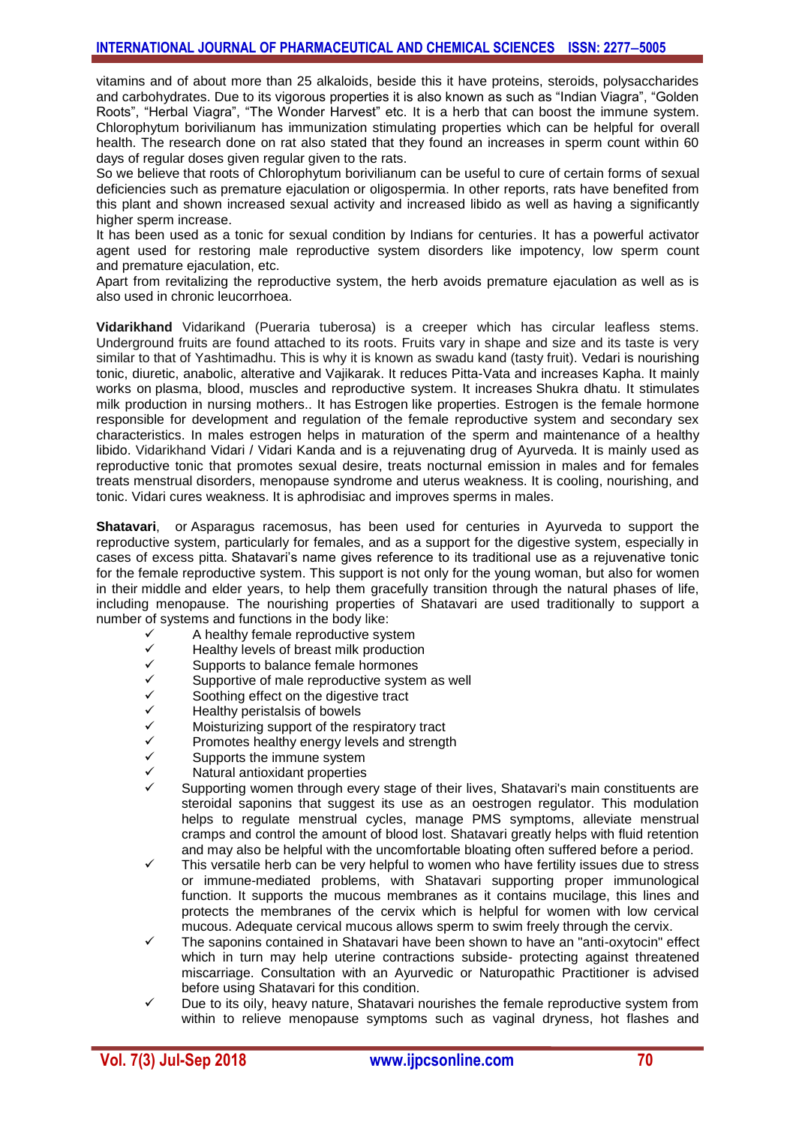vitamins and of about more than 25 alkaloids, beside this it have proteins, steroids, polysaccharides and carbohydrates. Due to its vigorous properties it is also known as such as "Indian Viagra", "Golden Roots", "Herbal Viagra", "The Wonder Harvest" etc. It is a herb that can boost the immune system. Chlorophytum borivilianum has immunization stimulating properties which can be helpful for overall health. The research done on rat also stated that they found an increases in sperm count within 60 days of regular doses given regular given to the rats.

So we believe that roots of Chlorophytum borivilianum can be useful to cure of certain forms of sexual deficiencies such as premature [ejaculation](http://www.ayurvedicindia.info/home-remedies-for-premature-ejaculation/) or oligospermia. In other reports, rats have benefited from this plant and shown increased sexual activity and increased libido as well as having a significantly higher sperm increase.

It has been used as a tonic for sexual condition by Indians for centuries. It has a powerful activator agent used for restoring male reproductive system disorders like impotency, low sperm count and premature [ejaculation,](http://ayurvedicindia.info/home-remedies-for-premature-ejaculation/) etc.

Apart from revitalizing the reproductive system, the herb avoids premature ejaculation as well as is also used in chronic leucorrhoea.

**Vidarikhand** Vidarikand (Pueraria tuberosa) is a creeper which has circular leafless stems. Underground fruits are found attached to its roots. Fruits vary in shape and size and its taste is very similar to that of Yashtimadhu. This is why it is known as swadu kand (tasty fruit). Vedari is nourishing tonic, diuretic, anabolic, alterative and Vajikarak. It reduces Pitta-Vata and increases Kapha. It mainly works on plasma, blood, muscles and reproductive system. It increases Shukra dhatu. It stimulates milk production in nursing mothers.. It has Estrogen like properties. Estrogen is the female hormone responsible for development and regulation of the female reproductive system and secondary sex characteristics. In males estrogen helps in maturation of the sperm and maintenance of a healthy libido. Vidarikhand Vidari / Vidari Kanda and is a rejuvenating drug of Ayurveda. It is mainly used as reproductive tonic that promotes sexual desire, treats nocturnal emission in males and for females treats menstrual disorders, menopause syndrome and uterus weakness. It is cooling, nourishing, and tonic. Vidari cures weakness. It is aphrodisiac and improves sperms in males.

**Shatavari**, or Asparagus racemosus, has been used for centuries in Ayurveda to support the reproductive system, particularly for females, and as a support for the digestive system, especially in cases of excess pitta. Shatavari's name gives reference to its traditional use as a rejuvenative tonic for the female reproductive system. This support is not only for the young woman, but also for women in their middle and elder years, to help them gracefully transition through the natural phases of life, including menopause. The nourishing properties of Shatavari are used traditionally to support a number of systems and functions in the body like:

- $\checkmark$  A healthy female reproductive system<br> $\checkmark$  Healthy levels of breast milk production
- $\checkmark$  Healthy levels of breast milk production<br> $\checkmark$  Supports to balance female hormones
- $\checkmark$  Supports to balance female hormones<br> $\checkmark$  Supportive of male reproductive system
- V<br>
Supportive of male reproductive system as well<br>
Soothing effect on the digestive tract<br>
Healthy peristalsis of bowels<br>
Moisturizing support of the respiratory tract<br>
Promotes healthy energy levels and strength
- Soothing effect on the digestive tract
- Healthy peristalsis of bowels
- Moisturizing support of the respiratory tract
- $\checkmark$  Promotes healthy energy levels and strength  $\checkmark$  Supports the immune system
- Supports the immune system
- Natural antioxidant properties
- Supporting women through every stage of their lives, Shatavari's main constituents are steroidal saponins that suggest its use as an oestrogen regulator. This modulation helps to regulate menstrual cycles, manage PMS symptoms, alleviate menstrual cramps and control the amount of blood lost. Shatavari greatly helps with fluid retention and may also be helpful with the uncomfortable bloating often suffered before a period.
- This versatile herb can be very helpful to women who have fertility issues due to stress or immune-mediated problems, with Shatavari supporting proper immunological function. It supports the mucous membranes as it contains mucilage, this lines and protects the membranes of the cervix which is helpful for women with low cervical mucous. Adequate cervical mucous allows sperm to swim freely through the cervix.
- The saponins contained in Shatavari have been shown to have an "anti-oxytocin" effect which in turn may help uterine contractions subside- protecting against threatened miscarriage. Consultation with an Ayurvedic or Naturopathic Practitioner is advised before using Shatavari for this condition.
- Due to its oily, heavy nature, Shatavari nourishes the female reproductive system from within to relieve menopause symptoms such as vaginal dryness, hot flashes and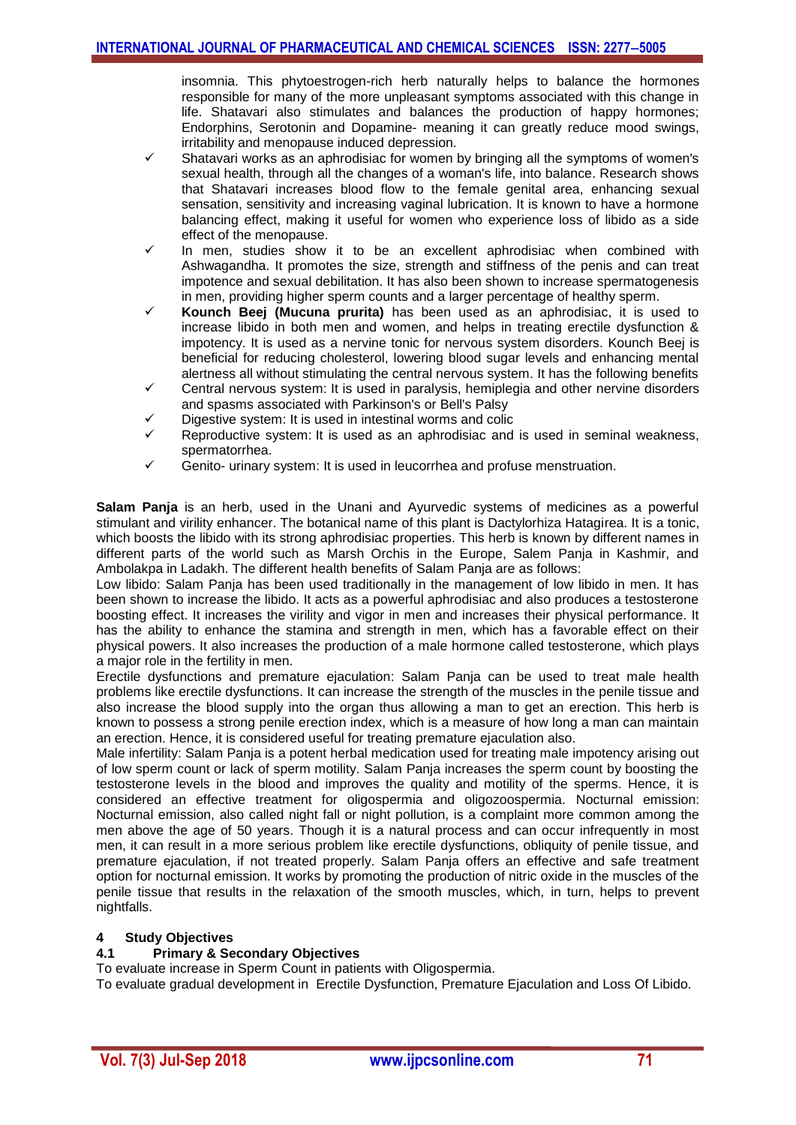insomnia. This phytoestrogen-rich herb naturally helps to balance the hormones responsible for many of the more unpleasant symptoms associated with this change in life. Shatavari also stimulates and balances the production of happy hormones; Endorphins, Serotonin and Dopamine- meaning it can greatly reduce mood swings, irritability and menopause induced depression.

- Shatavari works as an aphrodisiac for women by bringing all the symptoms of women's sexual health, through all the changes of a woman's life, into balance. Research shows that Shatavari increases blood flow to the female genital area, enhancing sexual sensation, sensitivity and increasing vaginal lubrication. It is known to have a hormone balancing effect, making it useful for women who experience loss of libido as a side effect of the menopause.
- In men, studies show it to be an excellent aphrodisiac when combined with Ashwagandha. It promotes the size, strength and stiffness of the penis and can treat impotence and sexual debilitation. It has also been shown to increase spermatogenesis in men, providing higher sperm counts and a larger percentage of healthy sperm.
- **Kounch Beej (Mucuna prurita)** has been used as an aphrodisiac, it is used to increase libido in both men and women, and helps in treating erectile dysfunction & impotency. It is used as a nervine tonic for nervous system disorders. Kounch Beej is beneficial for reducing cholesterol, lowering blood sugar levels and enhancing mental alertness all without stimulating the central nervous system. It has the following benefits
- Central nervous system: It is used in paralysis, hemiplegia and other nervine disorders and spasms associated with Parkinson's or Bell's Palsy
- Digestive system: It is used in intestinal worms and colic
- Reproductive system: It is used as an aphrodisiac and is used in seminal weakness, spermatorrhea.
- $\checkmark$  Genito- urinary system: It is used in leucorrhea and profuse menstruation.

**Salam Panja** is an herb, used in the Unani and Ayurvedic systems of medicines as a powerful stimulant and virility enhancer. The botanical name of this plant is Dactylorhiza Hatagirea. It is a tonic, which boosts the libido with its strong aphrodisiac properties. This herb is known by different names in different parts of the world such as Marsh Orchis in the Europe, Salem Panja in Kashmir, and Ambolakpa in Ladakh. The different health benefits of Salam Panja are as follows:

Low libido: Salam Panja has been used traditionally in the management of low libido in men. It has been shown to increase the libido. It acts as a powerful aphrodisiac and also produces a testosterone boosting effect. It increases the virility and vigor in men and increases their physical performance. It has the ability to enhance the stamina and strength in men, which has a favorable effect on their physical powers. It also increases the production of a male hormone called testosterone, which plays a major role in the fertility in men.

Erectile dysfunctions and premature ejaculation: Salam Panja can be used to treat male health problems like erectile dysfunctions. It can increase the strength of the muscles in the penile tissue and also increase the blood supply into the organ thus allowing a man to get an erection. This herb is known to possess a strong penile erection index, which is a measure of how long a man can maintain an erection. Hence, it is considered useful for treating premature ejaculation also.

Male infertility: Salam Panja is a potent herbal medication used for treating male impotency arising out of low sperm count or lack of sperm motility. Salam Panja increases the sperm count by boosting the testosterone levels in the blood and improves the quality and motility of the sperms. Hence, it is considered an effective treatment for oligospermia and oligozoospermia. Nocturnal emission: Nocturnal emission, also called night fall or night pollution, is a complaint more common among the men above the age of 50 years. Though it is a natural process and can occur infrequently in most men, it can result in a more serious problem like erectile dysfunctions, obliquity of penile tissue, and premature ejaculation, if not treated properly. Salam Panja offers an effective and safe treatment option for nocturnal emission. It works by promoting the production of nitric oxide in the muscles of the penile tissue that results in the relaxation of the smooth muscles, which, in turn, helps to prevent nightfalls.

#### **4 Study Objectives**

#### **4.1 Primary & Secondary Objectives**

To evaluate increase in Sperm Count in patients with Oligospermia.

To evaluate gradual development in Erectile Dysfunction, Premature Ejaculation and Loss Of Libido.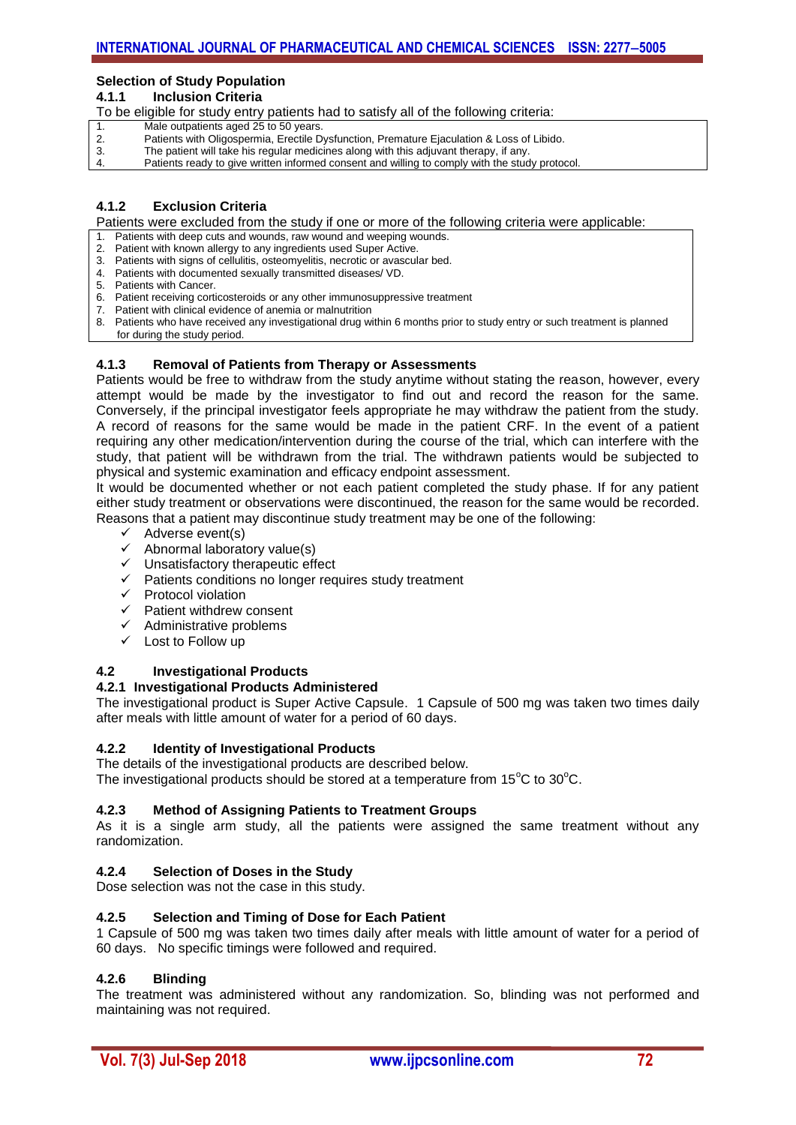# **Selection of Study Population**

#### **4.1.1 Inclusion Criteria**

- To be eligible for study entry patients had to satisfy all of the following criteria:<br>1. Male outpatients aged 25 to 50 years.
- 1. Male outpatients aged 25 to 50 years.<br>2. Patients with Oligospermia, Erectile D
- 2. Patients with Oligospermia, Erectile Dysfunction, Premature Ejaculation & Loss of Libido.<br>3. The patient will take his regular medicines along with this adiuvant therapy. if any.
- The patient will take his regular medicines along with this adjuvant therapy, if any.
- 4. Patients ready to give written informed consent and willing to comply with the study protocol.

#### **4.1.2 Exclusion Criteria**

Patients were excluded from the study if one or more of the following criteria were applicable:

- Patients with deep cuts and wounds, raw wound and weeping wounds.
- 2. Patient with known allergy to any ingredients used Super Active.
- 3. Patients with signs of cellulitis, osteomyelitis, necrotic or avascular bed.
- 4. Patients with documented sexually transmitted diseases/ VD.
- 5. Patients with Cancer.
- 6. Patient receiving corticosteroids or any other immunosuppressive treatment
- 7. Patient with clinical evidence of anemia or malnutrition

8. Patients who have received any investigational drug within 6 months prior to study entry or such treatment is planned for during the study period.

#### **4.1.3 Removal of Patients from Therapy or Assessments**

Patients would be free to withdraw from the study anytime without stating the reason, however, every attempt would be made by the investigator to find out and record the reason for the same. Conversely, if the principal investigator feels appropriate he may withdraw the patient from the study. A record of reasons for the same would be made in the patient CRF. In the event of a patient requiring any other medication/intervention during the course of the trial, which can interfere with the study, that patient will be withdrawn from the trial. The withdrawn patients would be subjected to physical and systemic examination and efficacy endpoint assessment.

It would be documented whether or not each patient completed the study phase. If for any patient either study treatment or observations were discontinued, the reason for the same would be recorded. Reasons that a patient may discontinue study treatment may be one of the following:

- $\checkmark$  Adverse event(s)
- $\checkmark$  Abnormal laboratory value(s)
- $\checkmark$  Unsatisfactory therapeutic effect
- $\checkmark$  Patients conditions no longer requires study treatment
- $\checkmark$  Protocol violation
- $\checkmark$  Patient withdrew consent
- $\checkmark$  Administrative problems
- $\checkmark$  Lost to Follow up

#### **4.2 Investigational Products**

#### **4.2.1 Investigational Products Administered**

The investigational product is Super Active Capsule. 1 Capsule of 500 mg was taken two times daily after meals with little amount of water for a period of 60 days.

#### **4.2.2 Identity of Investigational Products**

The details of the investigational products are described below.

The investigational products should be stored at a temperature from  $15^{\circ}$ C to  $30^{\circ}$ C.

#### **4.2.3 Method of Assigning Patients to Treatment Groups**

As it is a single arm study, all the patients were assigned the same treatment without any randomization.

#### **4.2.4 Selection of Doses in the Study**

Dose selection was not the case in this study.

#### **4.2.5 Selection and Timing of Dose for Each Patient**

1 Capsule of 500 mg was taken two times daily after meals with little amount of water for a period of 60 days. No specific timings were followed and required.

#### **4.2.6 Blinding**

The treatment was administered without any randomization. So, blinding was not performed and maintaining was not required.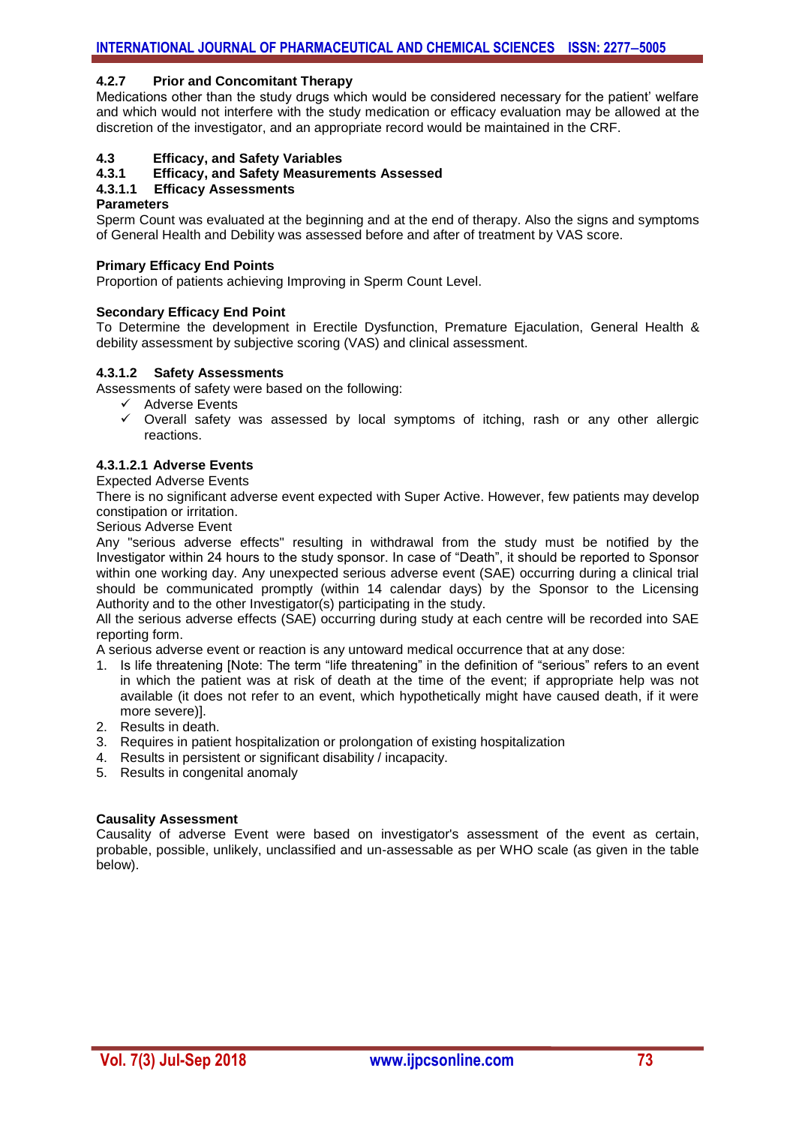#### **4.2.7 Prior and Concomitant Therapy**

Medications other than the study drugs which would be considered necessary for the patient' welfare and which would not interfere with the study medication or efficacy evaluation may be allowed at the discretion of the investigator, and an appropriate record would be maintained in the CRF.

# **4.3 Efficacy, and Safety Variables**

#### **4.3.1 Efficacy, and Safety Measurements Assessed**

#### **4.3.1.1 Efficacy Assessments**

#### **Parameters**

Sperm Count was evaluated at the beginning and at the end of therapy. Also the signs and symptoms of General Health and Debility was assessed before and after of treatment by VAS score.

#### **Primary Efficacy End Points**

Proportion of patients achieving Improving in Sperm Count Level.

#### **Secondary Efficacy End Point**

To Determine the development in Erectile Dysfunction, Premature Ejaculation, General Health & debility assessment by subjective scoring (VAS) and clinical assessment.

#### **4.3.1.2 Safety Assessments**

Assessments of safety were based on the following:

- $\checkmark$  Adverse Events
- $\checkmark$  Overall safety was assessed by local symptoms of itching, rash or any other allergic reactions.

#### **4.3.1.2.1 Adverse Events**

Expected Adverse Events

There is no significant adverse event expected with Super Active. However, few patients may develop constipation or irritation.

Serious Adverse Event

Any "serious adverse effects" resulting in withdrawal from the study must be notified by the Investigator within 24 hours to the study sponsor. In case of "Death", it should be reported to Sponsor within one working day. Any unexpected serious adverse event (SAE) occurring during a clinical trial should be communicated promptly (within 14 calendar days) by the Sponsor to the Licensing Authority and to the other Investigator(s) participating in the study.

All the serious adverse effects (SAE) occurring during study at each centre will be recorded into SAE reporting form.

A serious adverse event or reaction is any untoward medical occurrence that at any dose:

- 1. Is life threatening [Note: The term "life threatening" in the definition of "serious" refers to an event in which the patient was at risk of death at the time of the event; if appropriate help was not available (it does not refer to an event, which hypothetically might have caused death, if it were more severe)].
- 2. Results in death.
- 3. Requires in patient hospitalization or prolongation of existing hospitalization
- 4. Results in persistent or significant disability / incapacity.
- 5. Results in congenital anomaly

#### **Causality Assessment**

Causality of adverse Event were based on investigator's assessment of the event as certain, probable, possible, unlikely, unclassified and un-assessable as per WHO scale (as given in the table below).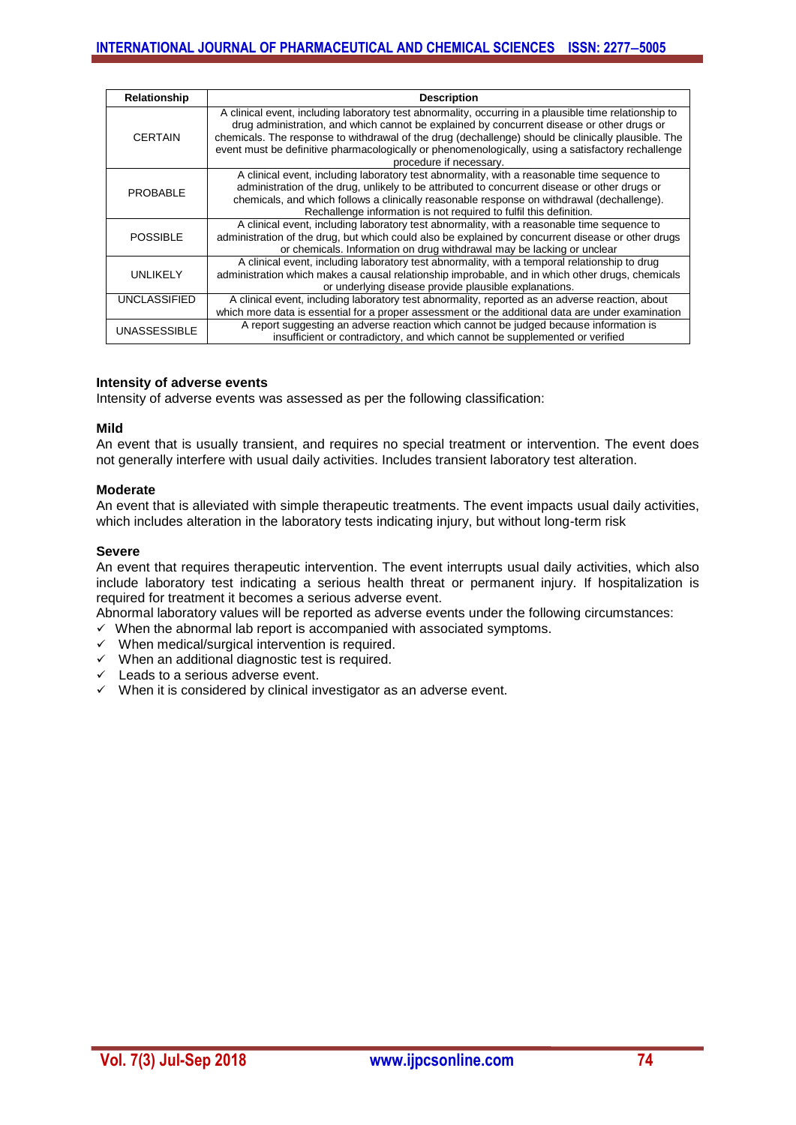| <b>Relationship</b>                                                                                                                                                                                                                                                                            | <b>Description</b>                                                                                                                                                                                                                                                                                                                                                                                                                           |  |
|------------------------------------------------------------------------------------------------------------------------------------------------------------------------------------------------------------------------------------------------------------------------------------------------|----------------------------------------------------------------------------------------------------------------------------------------------------------------------------------------------------------------------------------------------------------------------------------------------------------------------------------------------------------------------------------------------------------------------------------------------|--|
| <b>CERTAIN</b>                                                                                                                                                                                                                                                                                 | A clinical event, including laboratory test abnormality, occurring in a plausible time relationship to<br>drug administration, and which cannot be explained by concurrent disease or other drugs or<br>chemicals. The response to withdrawal of the drug (dechallenge) should be clinically plausible. The<br>event must be definitive pharmacologically or phenomenologically, using a satisfactory rechallenge<br>procedure if necessary. |  |
| <b>PROBABLE</b>                                                                                                                                                                                                                                                                                | A clinical event, including laboratory test abnormality, with a reasonable time sequence to<br>administration of the drug, unlikely to be attributed to concurrent disease or other drugs or<br>chemicals, and which follows a clinically reasonable response on withdrawal (dechallenge).<br>Rechallenge information is not required to fulfil this definition.                                                                             |  |
| A clinical event, including laboratory test abnormality, with a reasonable time sequence to<br>administration of the drug, but which could also be explained by concurrent disease or other drugs<br><b>POSSIBLE</b><br>or chemicals. Information on drug withdrawal may be lacking or unclear |                                                                                                                                                                                                                                                                                                                                                                                                                                              |  |
| <b>UNLIKELY</b>                                                                                                                                                                                                                                                                                | A clinical event, including laboratory test abnormality, with a temporal relationship to drug<br>administration which makes a causal relationship improbable, and in which other drugs, chemicals<br>or underlying disease provide plausible explanations.                                                                                                                                                                                   |  |
| <b>UNCLASSIFIED</b>                                                                                                                                                                                                                                                                            | A clinical event, including laboratory test abnormality, reported as an adverse reaction, about<br>which more data is essential for a proper assessment or the additional data are under examination                                                                                                                                                                                                                                         |  |
| <b>UNASSESSIBLE</b>                                                                                                                                                                                                                                                                            | A report suggesting an adverse reaction which cannot be judged because information is<br>insufficient or contradictory, and which cannot be supplemented or verified                                                                                                                                                                                                                                                                         |  |

#### **Intensity of adverse events**

Intensity of adverse events was assessed as per the following classification:

#### **Mild**

An event that is usually transient, and requires no special treatment or intervention. The event does not generally interfere with usual daily activities. Includes transient laboratory test alteration.

#### **Moderate**

An event that is alleviated with simple therapeutic treatments. The event impacts usual daily activities, which includes alteration in the laboratory tests indicating injury, but without long-term risk

#### **Severe**

An event that requires therapeutic intervention. The event interrupts usual daily activities, which also include laboratory test indicating a serious health threat or permanent injury. If hospitalization is required for treatment it becomes a serious adverse event.

Abnormal laboratory values will be reported as adverse events under the following circumstances:

- $\checkmark$  When the abnormal lab report is accompanied with associated symptoms.
- $\checkmark$  When medical/surgical intervention is required.
- $\checkmark$  When an additional diagnostic test is required.
- $\checkmark$  Leads to a serious adverse event.
- $\checkmark$  When it is considered by clinical investigator as an adverse event.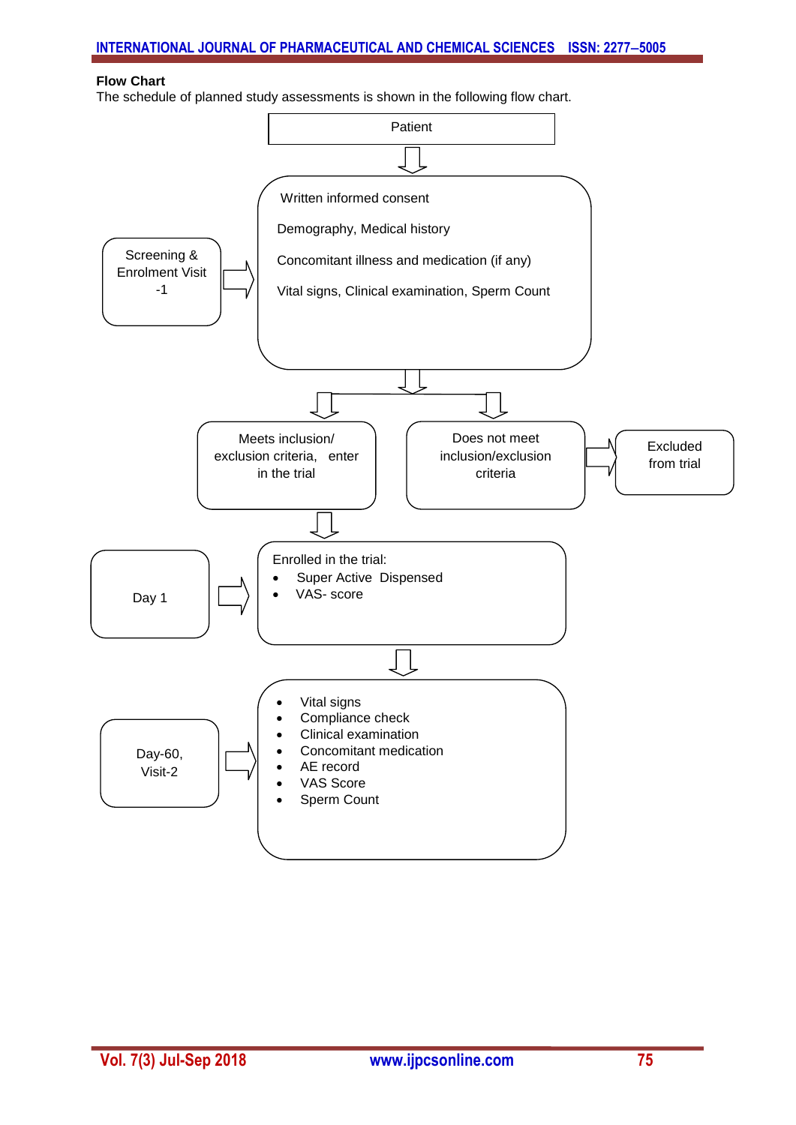## **Flow Chart**

The schedule of planned study assessments is shown in the following flow chart.

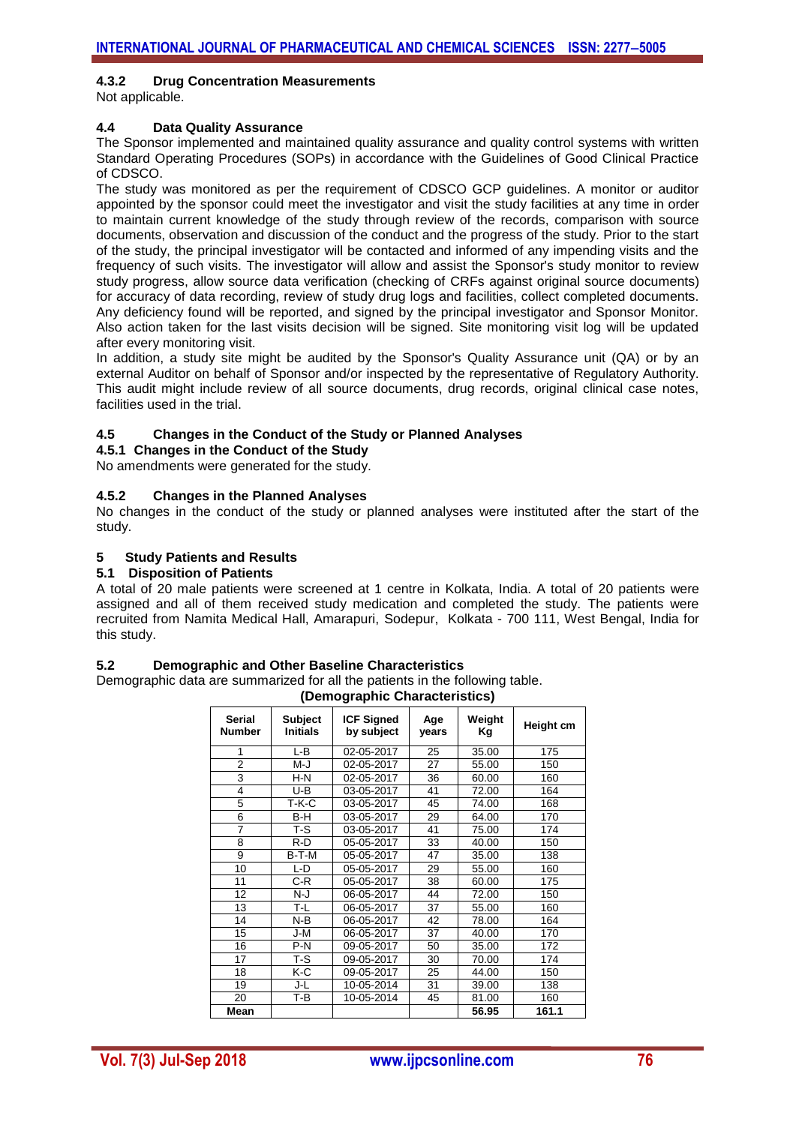### **4.3.2 Drug Concentration Measurements**

Not applicable.

#### **4.4 Data Quality Assurance**

The Sponsor implemented and maintained quality assurance and quality control systems with written Standard Operating Procedures (SOPs) in accordance with the Guidelines of Good Clinical Practice of CDSCO.

The study was monitored as per the requirement of CDSCO GCP guidelines. A monitor or auditor appointed by the sponsor could meet the investigator and visit the study facilities at any time in order to maintain current knowledge of the study through review of the records, comparison with source documents, observation and discussion of the conduct and the progress of the study. Prior to the start of the study, the principal investigator will be contacted and informed of any impending visits and the frequency of such visits. The investigator will allow and assist the Sponsor's study monitor to review study progress, allow source data verification (checking of CRFs against original source documents) for accuracy of data recording, review of study drug logs and facilities, collect completed documents. Any deficiency found will be reported, and signed by the principal investigator and Sponsor Monitor. Also action taken for the last visits decision will be signed. Site monitoring visit log will be updated after every monitoring visit.

In addition, a study site might be audited by the Sponsor's Quality Assurance unit (QA) or by an external Auditor on behalf of Sponsor and/or inspected by the representative of Regulatory Authority. This audit might include review of all source documents, drug records, original clinical case notes, facilities used in the trial.

#### **4.5 Changes in the Conduct of the Study or Planned Analyses**

#### **4.5.1 Changes in the Conduct of the Study**

No amendments were generated for the study.

#### **4.5.2 Changes in the Planned Analyses**

No changes in the conduct of the study or planned analyses were instituted after the start of the study.

#### **5 Study Patients and Results**

#### **5.1 Disposition of Patients**

A total of 20 male patients were screened at 1 centre in Kolkata, India. A total of 20 patients were assigned and all of them received study medication and completed the study. The patients were recruited from Namita Medical Hall, Amarapuri, Sodepur, Kolkata - 700 111, West Bengal, India for this study.

#### **5.2 Demographic and Other Baseline Characteristics**

Demographic data are summarized for all the patients in the following table. **(Demographic Characteristics)**

| <b>Serial</b><br><b>Number</b> | <b>Subject</b><br><b>Initials</b> | <b>ICF Signed</b><br>by subject | Age<br>years | Weight<br>Κg | Height cm |
|--------------------------------|-----------------------------------|---------------------------------|--------------|--------------|-----------|
| 1                              | L-B                               | 02-05-2017                      | 25           | 35.00        | 175       |
| 2                              | M-J                               | 02-05-2017                      | 27           | 55.00        | 150       |
| 3                              | $H-N$                             | 02-05-2017                      | 36           | 60.00        | 160       |
| 4                              | $U-B$                             | 03-05-2017                      | 41           | 72.00        | 164       |
| 5                              | T-K-C                             | 03-05-2017                      | 45           | 74.00        | 168       |
| 6                              | B-H                               | 03-05-2017                      | 29           | 64.00        | 170       |
| $\overline{7}$                 | T-S                               | 03-05-2017                      | 41           | 75.00        | 174       |
| 8                              | $R-D$                             | 05-05-2017                      | 33           | 40.00        | 150       |
| 9                              | B-T-M                             | 05-05-2017                      | 47           | 35.00        | 138       |
| 10                             | L-D                               | 05-05-2017                      | 29           | 55.00        | 160       |
| 11                             | $C-R$                             | 05-05-2017                      | 38           | 60.00        | 175       |
| 12                             | N-J                               | 06-05-2017                      | 44           | 72.00        | 150       |
| 13                             | T-L                               | 06-05-2017                      | 37           | 55.00        | 160       |
| 14                             | $N-B$                             | 06-05-2017                      | 42           | 78.00        | 164       |
| 15                             | J-M                               | 06-05-2017                      | 37           | 40.00        | 170       |
| 16                             | P-N                               | 09-05-2017                      | 50           | 35.00        | 172       |
| 17                             | $T-S$                             | 09-05-2017                      | 30           | 70.00        | 174       |
| 18                             | K-C                               | 09-05-2017                      | 25           | 44.00        | 150       |
| 19                             | J-L                               | 10-05-2014                      | 31           | 39.00        | 138       |
| 20                             | T-B                               | 10-05-2014                      | 45           | 81.00        | 160       |
| Mean                           |                                   |                                 |              | 56.95        | 161.1     |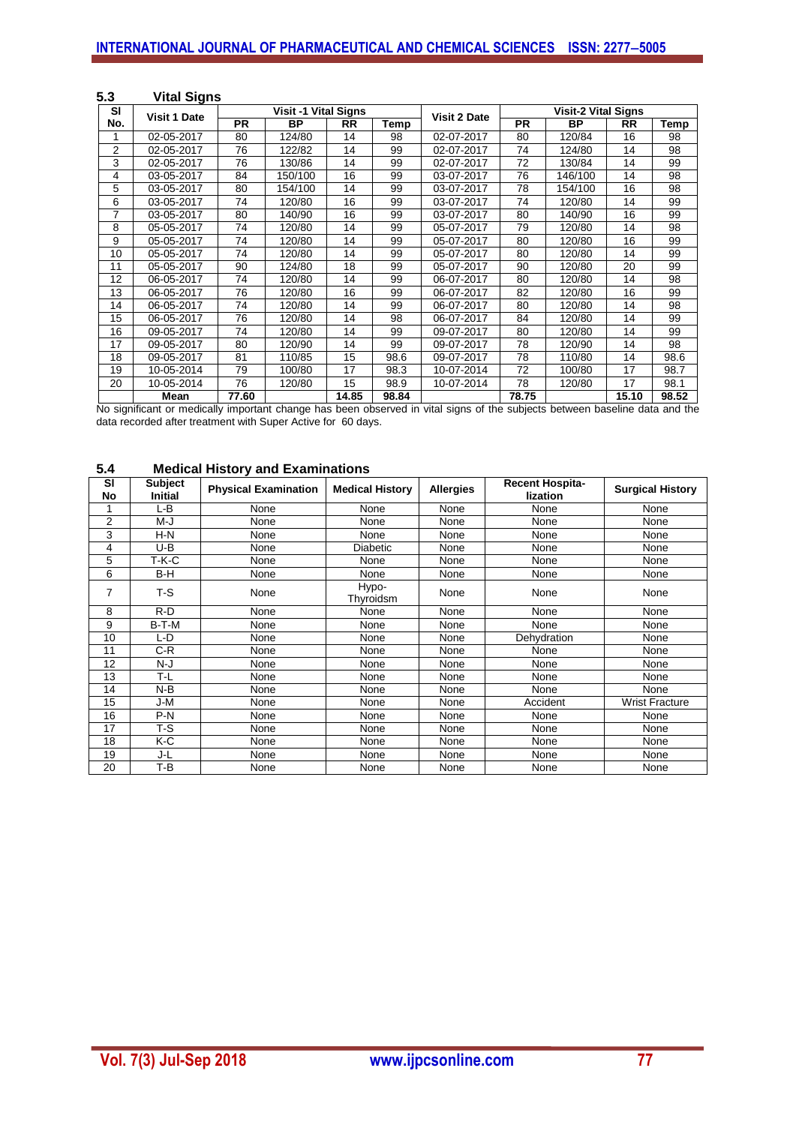| 5.3            | Vital Signs         |           |                             |           |       |                     |           |                            |           |       |
|----------------|---------------------|-----------|-----------------------------|-----------|-------|---------------------|-----------|----------------------------|-----------|-------|
| SI             | <b>Visit 1 Date</b> |           | <b>Visit -1 Vital Signs</b> |           |       | <b>Visit 2 Date</b> |           | <b>Visit-2 Vital Signs</b> |           |       |
| No.            |                     | <b>PR</b> | <b>BP</b>                   | <b>RR</b> | Temp  |                     | <b>PR</b> | <b>BP</b>                  | <b>RR</b> | Temp  |
| 1              | 02-05-2017          | 80        | 124/80                      | 14        | 98    | 02-07-2017          | 80        | 120/84                     | 16        | 98    |
| $\overline{2}$ | 02-05-2017          | 76        | 122/82                      | 14        | 99    | 02-07-2017          | 74        | 124/80                     | 14        | 98    |
| 3              | 02-05-2017          | 76        | 130/86                      | 14        | 99    | 02-07-2017          | 72        | 130/84                     | 14        | 99    |
| 4              | 03-05-2017          | 84        | 150/100                     | 16        | 99    | 03-07-2017          | 76        | 146/100                    | 14        | 98    |
| 5              | 03-05-2017          | 80        | 154/100                     | 14        | 99    | 03-07-2017          | 78        | 154/100                    | 16        | 98    |
| 6              | 03-05-2017          | 74        | 120/80                      | 16        | 99    | 03-07-2017          | 74        | 120/80                     | 14        | 99    |
| $\overline{7}$ | 03-05-2017          | 80        | 140/90                      | 16        | 99    | 03-07-2017          | 80        | 140/90                     | 16        | 99    |
| 8              | 05-05-2017          | 74        | 120/80                      | 14        | 99    | 05-07-2017          | 79        | 120/80                     | 14        | 98    |
| 9              | 05-05-2017          | 74        | 120/80                      | 14        | 99    | 05-07-2017          | 80        | 120/80                     | 16        | 99    |
| 10             | 05-05-2017          | 74        | 120/80                      | 14        | 99    | 05-07-2017          | 80        | 120/80                     | 14        | 99    |
| 11             | 05-05-2017          | 90        | 124/80                      | 18        | 99    | 05-07-2017          | 90        | 120/80                     | 20        | 99    |
| 12             | 06-05-2017          | 74        | 120/80                      | 14        | 99    | 06-07-2017          | 80        | 120/80                     | 14        | 98    |
| 13             | 06-05-2017          | 76        | 120/80                      | 16        | 99    | 06-07-2017          | 82        | 120/80                     | 16        | 99    |
| 14             | 06-05-2017          | 74        | 120/80                      | 14        | 99    | 06-07-2017          | 80        | 120/80                     | 14        | 98    |
| 15             | 06-05-2017          | 76        | 120/80                      | 14        | 98    | 06-07-2017          | 84        | 120/80                     | 14        | 99    |
| 16             | 09-05-2017          | 74        | 120/80                      | 14        | 99    | 09-07-2017          | 80        | 120/80                     | 14        | 99    |
| 17             | 09-05-2017          | 80        | 120/90                      | 14        | 99    | 09-07-2017          | 78        | 120/90                     | 14        | 98    |
| 18             | 09-05-2017          | 81        | 110/85                      | 15        | 98.6  | 09-07-2017          | 78        | 110/80                     | 14        | 98.6  |
| 19             | 10-05-2014          | 79        | 100/80                      | 17        | 98.3  | 10-07-2014          | 72        | 100/80                     | 17        | 98.7  |
| 20             | 10-05-2014          | 76        | 120/80                      | 15        | 98.9  | 10-07-2014          | 78        | 120/80                     | 17        | 98.1  |
|                | Mean                | 77.60     |                             | 14.85     | 98.84 |                     | 78.75     |                            | 15.10     | 98.52 |

No significant or medically important change has been observed in vital signs of the subjects between baseline data and the data recorded after treatment with Super Active for 60 days.

# **5.4 Medical History and Examinations**

| SI<br>No | <b>Subject</b><br><b>Initial</b> | <b>Physical Examination</b> | <b>Medical History</b> | <b>Allergies</b> | <b>Recent Hospita-</b><br>lization | <b>Surgical History</b> |
|----------|----------------------------------|-----------------------------|------------------------|------------------|------------------------------------|-------------------------|
|          | L-B                              | None                        | None                   | None             | None                               | None                    |
| 2        | M-J                              | None                        | None                   | None             | None                               | None                    |
| 3        | $H-N$                            | None                        | None                   | None             | None                               | None                    |
| 4        | U-B                              | None                        | <b>Diabetic</b>        | None             | None                               | None                    |
| 5        | T-K-C                            | None                        | None                   | None             | None                               | None                    |
| 6        | B-H                              | None                        | None                   | None             | None                               | None                    |
| 7        | T-S                              | None                        | Hypo-<br>Thyroidsm     | None             | None                               | None                    |
| 8        | R-D                              | None                        | None                   | None             | None                               | None                    |
| 9        | B-T-M                            | None                        | None                   | None             | None                               | None                    |
| 10       | L-D                              | None                        | None                   | None             | Dehydration                        | None                    |
| 11       | C-R                              | None                        | None                   | None             | None                               | None                    |
| 12       | N-J                              | None                        | None                   | None             | None                               | None                    |
| 13       | T-L                              | None                        | None                   | None             | None                               | None                    |
| 14       | $N-B$                            | None                        | None                   | None             | None                               | None                    |
| 15       | J-M                              | None                        | None                   | None             | Accident                           | <b>Wrist Fracture</b>   |
| 16       | P-N                              | None                        | None                   | None             | None                               | None                    |
| 17       | T-S                              | None                        | None                   | None             | None                               | None                    |
| 18       | K-C                              | None                        | None                   | None             | None                               | None                    |
| 19       | J-L                              | None                        | None                   | None             | None                               | None                    |
| 20       | T-B                              | None                        | None                   | None             | None                               | None                    |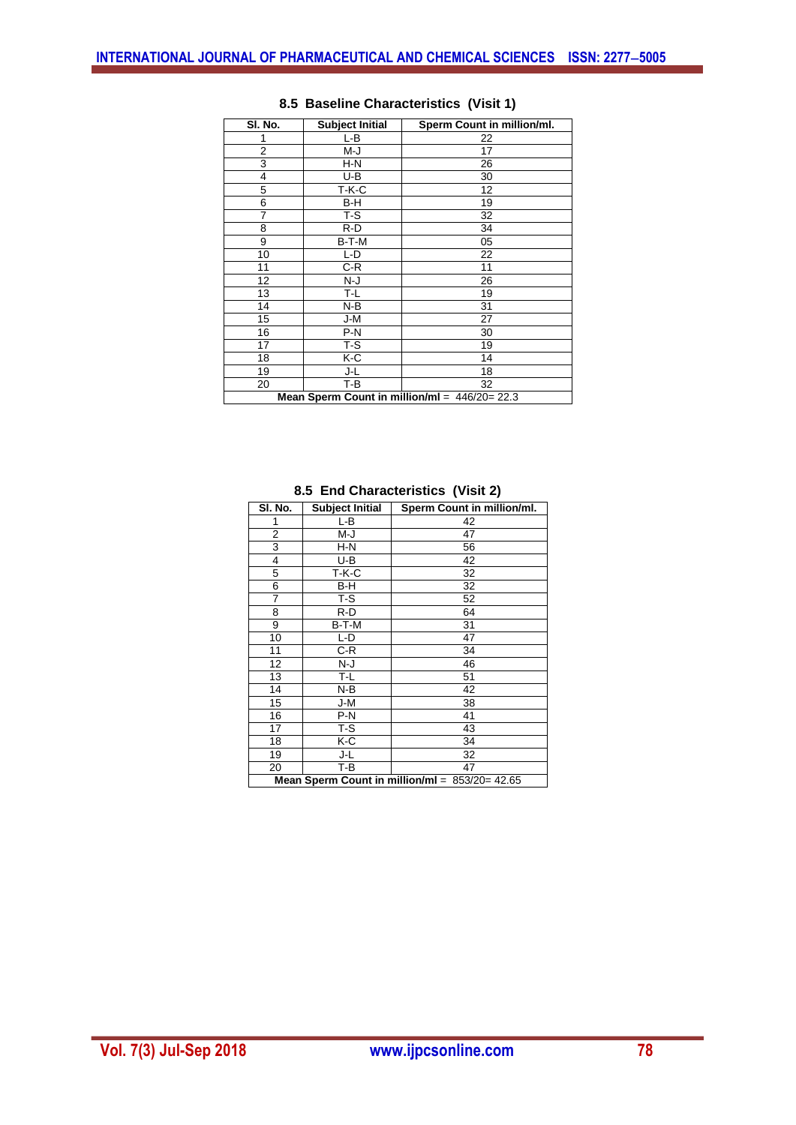| SI. No.                                        | <b>Subject Initial</b> | Sperm Count in million/ml. |  |  |
|------------------------------------------------|------------------------|----------------------------|--|--|
| 1                                              | L-B                    | 22                         |  |  |
| 2                                              | M-J                    | 17                         |  |  |
| 3                                              | H-N                    | 26                         |  |  |
| 4                                              | U-B                    | 30                         |  |  |
| 5                                              | T-K-C                  | 12                         |  |  |
| 6                                              | B-H                    | 19                         |  |  |
| 7                                              | $T-S$                  | 32                         |  |  |
| 8                                              | R-D                    | 34                         |  |  |
| 9                                              | B-T-M                  | 05                         |  |  |
| 10                                             | L-D                    | 22                         |  |  |
| 11                                             | C-R                    | 11                         |  |  |
| 12                                             | N-J                    | 26                         |  |  |
| 13                                             | T-L                    | 19                         |  |  |
| 14                                             | N-B                    | 31                         |  |  |
| 15                                             | J-M                    | 27                         |  |  |
| 16                                             | P-N                    | 30                         |  |  |
| 17                                             | $T-S$                  | 19                         |  |  |
| 18                                             | K-C                    | 14                         |  |  |
| 19                                             | J-L                    | 18                         |  |  |
| 20                                             | T-B                    | 32                         |  |  |
| Mean Sperm Count in million/ml = $446/20=22.3$ |                        |                            |  |  |

## **8.5 Baseline Characteristics (Visit 1)**

| SI. No. | <b>Subject Initial</b>                          | Sperm Count in million/ml. |  |  |  |
|---------|-------------------------------------------------|----------------------------|--|--|--|
| 1       | L-B                                             | 42                         |  |  |  |
| 2       | M-J                                             | 47                         |  |  |  |
| 3       | H-N                                             | 56                         |  |  |  |
| 4       | U-B                                             | 42                         |  |  |  |
| 5       | T-K-C                                           | 32                         |  |  |  |
| 6       | B-H                                             | 32                         |  |  |  |
| 7       | $T-S$                                           | 52                         |  |  |  |
| 8       | R-D                                             | 64                         |  |  |  |
| 9       | B-T-M                                           | 31                         |  |  |  |
| 10      | L-D                                             | 47                         |  |  |  |
| 11      | C-R                                             | 34                         |  |  |  |
| 12      | N-J                                             | 46                         |  |  |  |
| 13      | T-L                                             | 51                         |  |  |  |
| 14      | N-B                                             | 42                         |  |  |  |
| 15      | J-M                                             | 38                         |  |  |  |
| 16      | P-N                                             | 41                         |  |  |  |
| 17      | $T-S$                                           | 43                         |  |  |  |
| 18      | K-C                                             | 34                         |  |  |  |
| 19      | J-L                                             | 32                         |  |  |  |
| 20      | T-B                                             | 47                         |  |  |  |
|         | Mean Sperm Count in million/ml = $853/20=42.65$ |                            |  |  |  |

### **8.5 End Characteristics (Visit 2)**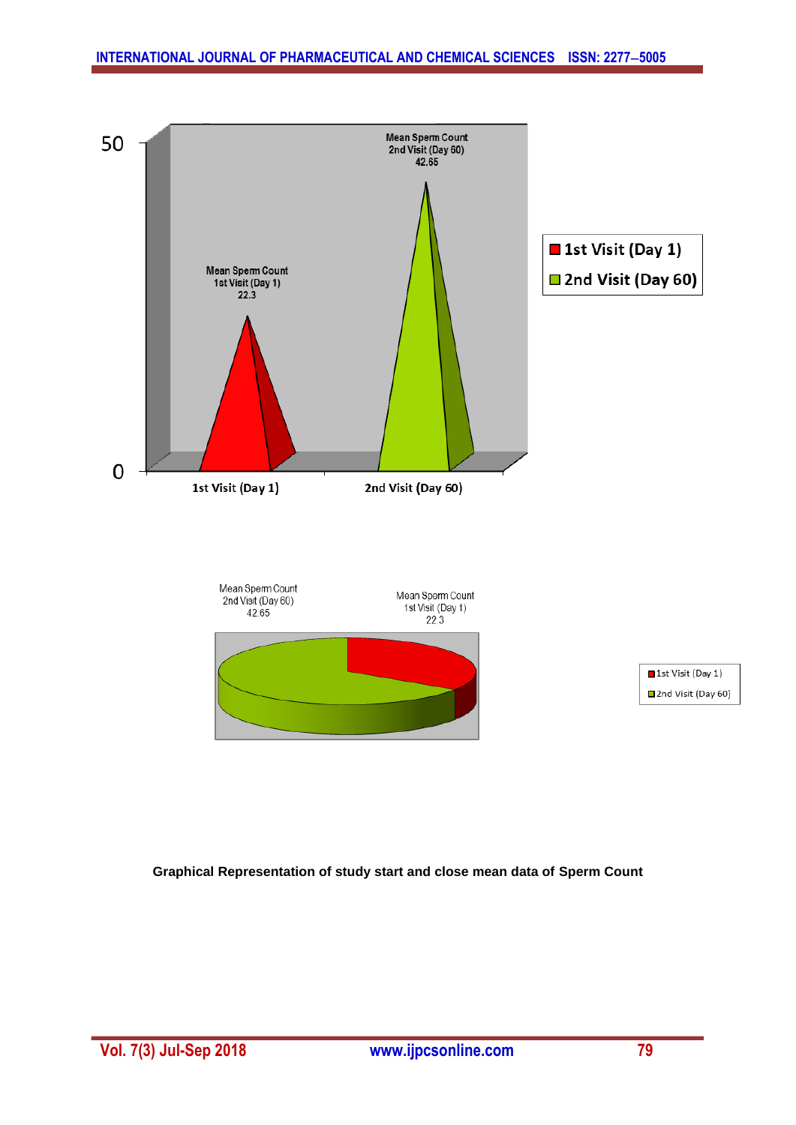

**Graphical Representation of study start and close mean data of Sperm Count**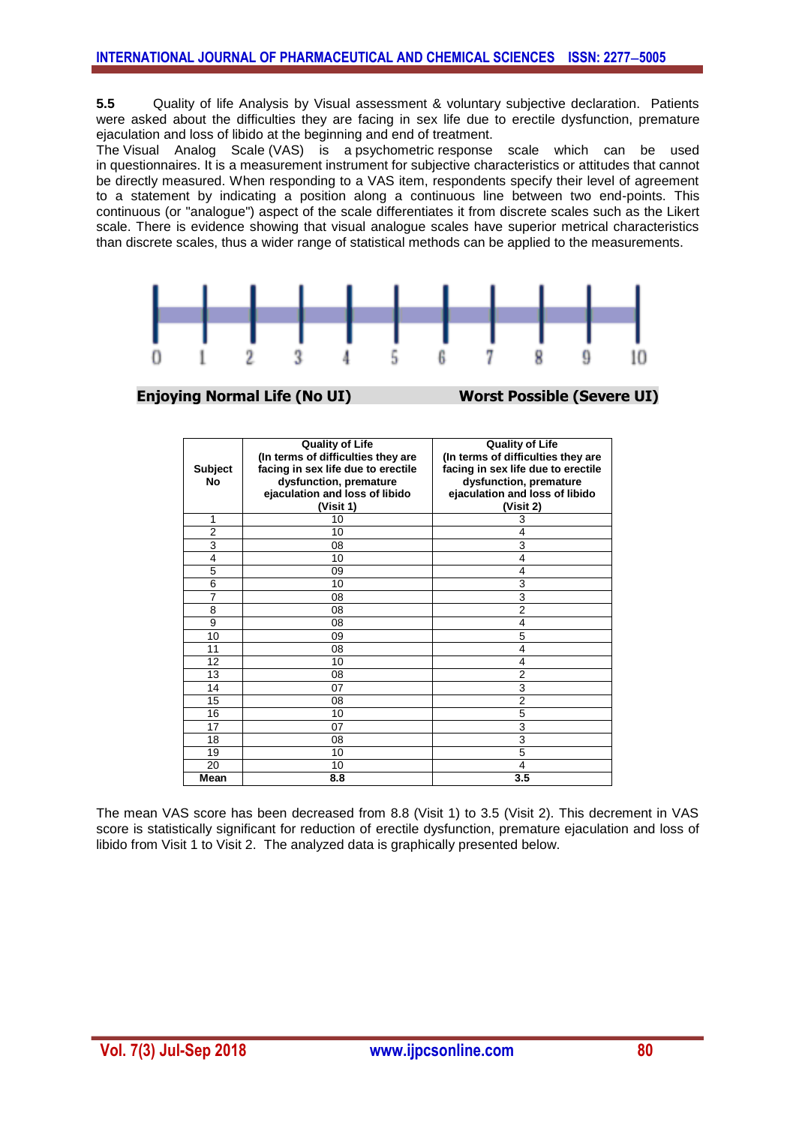**5.5** Quality of life Analysis by Visual assessment & voluntary subjective declaration. Patients were asked about the difficulties they are facing in sex life due to erectile dysfunction, premature ejaculation and loss of libido at the beginning and end of treatment.

The Visual Analog Scale (VAS) is a psychometric response scale which can be used in questionnaires. It is a measurement instrument for subjective characteristics or attitudes that cannot be directly measured. When responding to a VAS item, respondents specify their level of agreement to a statement by indicating a position along a continuous line between two end-points. This continuous (or "analogue") aspect of the scale differentiates it from discrete scales such as the Likert scale. There is evidence showing that visual analogue scales have superior metrical characteristics than discrete scales, thus a wider range of statistical methods can be applied to the measurements.



**Enjoying Normal Life (No UI) Worst Possible (Severe UI)**

| <b>Subject</b><br>No | <b>Quality of Life</b><br>(In terms of difficulties they are<br>facing in sex life due to erectile<br>dysfunction, premature<br>ejaculation and loss of libido<br>(Visit 1) | <b>Quality of Life</b><br>(In terms of difficulties they are<br>facing in sex life due to erectile<br>dysfunction, premature<br>ejaculation and loss of libido<br>(Visit 2) |  |
|----------------------|-----------------------------------------------------------------------------------------------------------------------------------------------------------------------------|-----------------------------------------------------------------------------------------------------------------------------------------------------------------------------|--|
| 1                    | 10                                                                                                                                                                          | 3                                                                                                                                                                           |  |
| 2                    | 10                                                                                                                                                                          | 4                                                                                                                                                                           |  |
| 3                    | 08                                                                                                                                                                          | 3                                                                                                                                                                           |  |
| 4                    | 10                                                                                                                                                                          | 4                                                                                                                                                                           |  |
| 5                    | 09                                                                                                                                                                          | 4                                                                                                                                                                           |  |
| 6                    | 10                                                                                                                                                                          | 3                                                                                                                                                                           |  |
| 7                    | 08                                                                                                                                                                          | 3                                                                                                                                                                           |  |
| 8                    | 08                                                                                                                                                                          | $\overline{2}$                                                                                                                                                              |  |
| 9                    | 08                                                                                                                                                                          | 4                                                                                                                                                                           |  |
| 10                   | 09                                                                                                                                                                          | 5                                                                                                                                                                           |  |
| 11                   | 08                                                                                                                                                                          | 4                                                                                                                                                                           |  |
| 12                   | 10                                                                                                                                                                          | 4                                                                                                                                                                           |  |
| 13                   | 08                                                                                                                                                                          | $\overline{2}$                                                                                                                                                              |  |
| 14                   | 07                                                                                                                                                                          | 3                                                                                                                                                                           |  |
| 15                   | 08                                                                                                                                                                          | $\overline{2}$                                                                                                                                                              |  |
| 16                   | 10                                                                                                                                                                          | 5                                                                                                                                                                           |  |
| 17                   | 07                                                                                                                                                                          | 3                                                                                                                                                                           |  |
| 18                   | 08                                                                                                                                                                          | 3                                                                                                                                                                           |  |
| 19                   | 10                                                                                                                                                                          | 5                                                                                                                                                                           |  |
| 20                   | 10                                                                                                                                                                          | 4                                                                                                                                                                           |  |
| Mean                 | 8.8                                                                                                                                                                         | 3.5                                                                                                                                                                         |  |

The mean VAS score has been decreased from 8.8 (Visit 1) to 3.5 (Visit 2). This decrement in VAS score is statistically significant for reduction of erectile dysfunction, premature ejaculation and loss of libido from Visit 1 to Visit 2. The analyzed data is graphically presented below.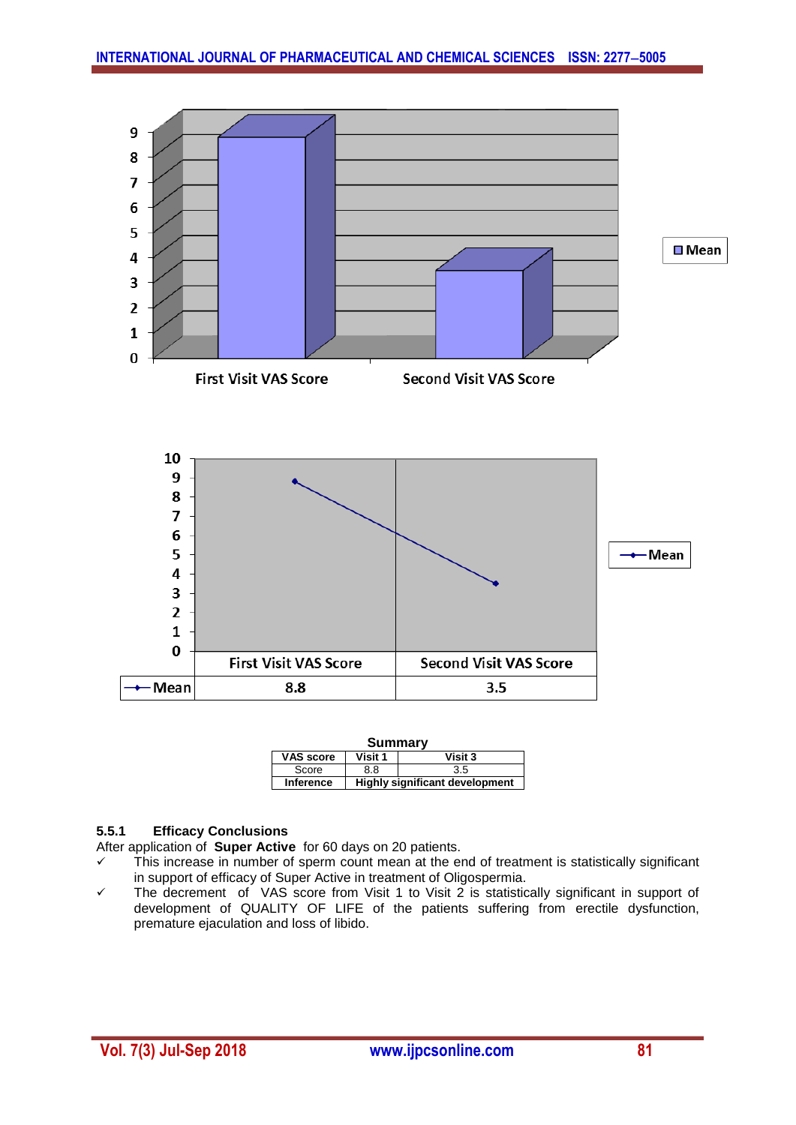

| <b>Summary</b>                         |                                       |  |  |  |  |
|----------------------------------------|---------------------------------------|--|--|--|--|
| Visit 1<br><b>VAS score</b><br>Visit 3 |                                       |  |  |  |  |
| Score                                  | 8.8<br>3.5                            |  |  |  |  |
| Inference                              | <b>Highly significant development</b> |  |  |  |  |

## **5.5.1 Efficacy Conclusions**

After application of **Super Active** for 60 days on 20 patients.

- $\checkmark$  This increase in number of sperm count mean at the end of treatment is statistically significant in support of efficacy of Super Active in treatment of Oligospermia.
- $\checkmark$  The decrement of VAS score from Visit 1 to Visit 2 is statistically significant in support of development of QUALITY OF LIFE of the patients suffering from erectile dysfunction, premature ejaculation and loss of libido.